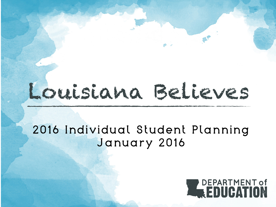# Louisiana Believes

## 2016 Individual Student Planning January 2016

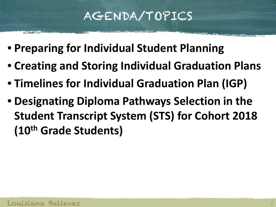## AGENDA/TOPICS

- **Preparing for Individual Student Planning**
- **Creating and Storing Individual Graduation Plans**
- **Timelines for Individual Graduation Plan (IGP)**
- **Designating Diploma Pathways Selection in the Student Transcript System (STS) for Cohort 2018 (10th Grade Students)**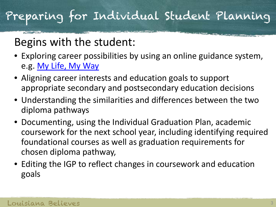# Preparing for Individual Student Planning

## Begins with the student:

- Exploring career possibilities by using an online guidance system, e.g. [My Life, My Way](http://www.laworks.net/mylife/)
- Aligning career interests and education goals to support appropriate secondary and postsecondary education decisions
- Understanding the similarities and differences between the two diploma pathways
- Documenting, using the Individual Graduation Plan, academic coursework for the next school year, including identifying required foundational courses as well as graduation requirements for chosen diploma pathway,
- Editing the IGP to reflect changes in coursework and education goals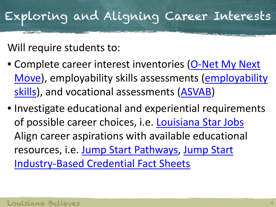# Exploring and Aligning Career Interests

Will require students to:

- Complete career interest inventories ([O-Net My Next](https://www.mynextmove.org/explore/ip)  [Move\)](https://www.mynextmove.org/explore/ip), employability skills assessments [\(employability](http://www.quintcareers.com/employability-skills-assessment/)  [skills](http://www.quintcareers.com/employability-skills-assessment/)), and vocational assessments [\(ASVAB\)](http://www.asvabprogram.com/)
- Investigate educational and experiential requirements of possible career choices, i.e. [Louisiana Star Jobs](http://www.laworks.net/stars/) Align career aspirations with available educational resources, i.e. [Jump Start Pathways,](http://www.louisianabelieves.com/resources/library/jump-start-graduation-pathways) [Jump Start](http://www.louisianabelieves.com/resources/library/jump-start-fact-sheets)  [Industry-Based Credential Fact Sheets](http://www.louisianabelieves.com/resources/library/jump-start-fact-sheets)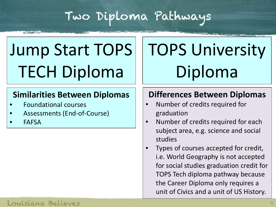## Two Diploma Pathways

# Jump Start TOPS TECH Diploma

### **Similarities Between Diplomas**

- Foundational courses
- Assessments (End-of-Course)
- **FAFSA**

# TOPS University Diploma

## **Differences Between Diplomas**

- Number of credits required for graduation
- Number of credits required for each subject area, e.g. science and social studies
- Types of courses accepted for credit, i.e. World Geography is not accepted for social studies graduation credit for TOPS Tech diploma pathway because the Career Diploma only requires a unit of Civics and a unit of US History.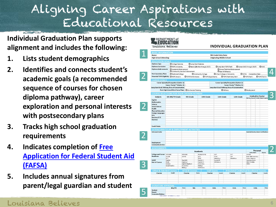## Aligning Career Aspirations with Educational Resources

**Individual Graduation Plan supports alignment and includes the following:**

- **1. Lists student demographics**
- **2. Identifies and connects student's academic goals (a recommended sequence of courses for chosen diploma pathway), career exploration and personal interests with postsecondary plans**
- **3. Tracks high school graduation requirements**
- **4. Indicates completion of [Free](https://fafsa.ed.gov/)  [Application for Federal Student Aid](https://fafsa.ed.gov/)  [\(FAFSA\)](https://fafsa.ed.gov/)**
- **5. Includes annual signatures from parent/legal guardian and student**

| <b>BASIC INFORMATION</b><br>Name:              |                                                          |                                      |                      |                                                                                           |                             |                                                        | 9th Grade Entry Date:             |  |                                                             |        |                                                                   |                |        |
|------------------------------------------------|----------------------------------------------------------|--------------------------------------|----------------------|-------------------------------------------------------------------------------------------|-----------------------------|--------------------------------------------------------|-----------------------------------|--|-------------------------------------------------------------|--------|-------------------------------------------------------------------|----------------|--------|
| <b>High School Attending:</b>                  |                                                          |                                      |                      |                                                                                           |                             |                                                        | <b>Originating Middle School:</b> |  |                                                             |        |                                                                   |                |        |
| <b>EDUCATION GOALS</b>                         |                                                          |                                      |                      |                                                                                           |                             |                                                        |                                   |  |                                                             |        |                                                                   |                |        |
| Diploma Type                                   | O College Diploma                                        |                                      | O Jump Start Diploma |                                                                                           |                             |                                                        |                                   |  |                                                             |        |                                                                   |                |        |
| Diploma Curriculum                             | O TOPS University                                        |                                      |                      | O Basic (Effective through 2017)<br>O Career (AOC through 2017)<br>O Jump Start TOPS Tech |                             |                                                        |                                   |  |                                                             |        |                                                                   | OSASC          |        |
| <b>Diploma Endorsements</b>                    | O Academic Endorsement                                   | O Community Service Endorsement      |                      |                                                                                           |                             | O Career/Technical Endorsement<br>O Seal of Biliteracy |                                   |  |                                                             |        |                                                                   |                |        |
| <b>Post-Secondary Plans</b>                    | O Technical College                                      |                                      | O Community College  |                                                                                           |                             |                                                        | O 4 Year College or University    |  |                                                             |        | OFAFSA Completion Date:                                           |                |        |
|                                                | Potential TOPS Eligibility OTOPS Honors                  | OTOPS Performance                    |                      |                                                                                           | O TOPS Opportunity          |                                                        |                                   |  | O TOPS Tech Early Start                                     |        | O TOPS Tech I                                                     | O TOPS Tech II |        |
| <b>CAREER GOALS</b>                            |                                                          |                                      |                      |                                                                                           |                             |                                                        |                                   |  |                                                             |        |                                                                   |                |        |
|                                                | Career Specialty/Occupation (Option 1):                  |                                      |                      |                                                                                           |                             |                                                        |                                   |  | Career Specialty/Occupation (Option 2):                     |        |                                                                   |                |        |
| Career Cluster" (Option 1): -                  |                                                          |                                      |                      |                                                                                           |                             | Career Cluster™ (Option 2): -                          |                                   |  |                                                             |        |                                                                   |                |        |
|                                                | Jump Start Grad. Pathway /Area of Concentration:         |                                      |                      |                                                                                           |                             |                                                        |                                   |  | Jump Start Grad. Pathway /Area of Concentration:            |        |                                                                   |                |        |
|                                                | Post-High School Work Force Plans: O On-the-Job Training |                                      |                      |                                                                                           |                             |                                                        | <b>O</b> Military                 |  |                                                             |        | O Employment                                                      |                |        |
|                                                | <b>COURSE SELECTIONS FOR YOUR CHOSEN PATHWAY</b>         |                                      |                      |                                                                                           |                             |                                                        |                                   |  |                                                             |        |                                                                   |                |        |
| Subjects                                       | 6th-8th/T9 Grade                                         | 9th Grade                            |                      | 10th Grade                                                                                |                             | 11th Grade                                             |                                   |  | 12th Grade                                                  |        | <b>Graduation Tracker</b><br>Min Req. Earned Enrolled Must Comple |                |        |
| English                                        |                                                          |                                      |                      |                                                                                           |                             |                                                        |                                   |  |                                                             |        |                                                                   |                |        |
| <b>Mathematics</b><br>Science                  |                                                          |                                      |                      |                                                                                           |                             |                                                        |                                   |  |                                                             |        |                                                                   |                |        |
| <b>Social Science</b>                          |                                                          |                                      |                      |                                                                                           |                             |                                                        |                                   |  |                                                             |        |                                                                   |                |        |
| Health                                         |                                                          |                                      |                      |                                                                                           |                             |                                                        |                                   |  |                                                             |        |                                                                   |                |        |
| <b>Physical Education</b>                      |                                                          |                                      |                      |                                                                                           |                             |                                                        |                                   |  |                                                             |        |                                                                   |                |        |
| Foreign Languages<br>Arts                      |                                                          |                                      |                      |                                                                                           |                             |                                                        |                                   |  |                                                             |        |                                                                   |                |        |
| Electives/CTE                                  |                                                          |                                      |                      |                                                                                           |                             |                                                        |                                   |  |                                                             |        |                                                                   |                |        |
| <b>Electives</b>                               |                                                          |                                      |                      |                                                                                           |                             |                                                        |                                   |  |                                                             |        |                                                                   |                |        |
|                                                |                                                          |                                      |                      |                                                                                           |                             |                                                        |                                   |  |                                                             |        |                                                                   |                |        |
| <b>Credit Totals</b>                           |                                                          |                                      |                      |                                                                                           |                             |                                                        |                                   |  |                                                             |        |                                                                   |                |        |
|                                                | <b>EXTRACURRICULAR &amp; EMPLOYMENT ACTIVITIES</b>       |                                      |                      |                                                                                           |                             |                                                        |                                   |  |                                                             |        |                                                                   |                |        |
| Extracurricular                                |                                                          |                                      |                      |                                                                                           |                             |                                                        |                                   |  |                                                             |        | Awards/Industry-Based Certifications                              |                |        |
|                                                |                                                          |                                      |                      |                                                                                           |                             |                                                        |                                   |  |                                                             |        |                                                                   |                |        |
|                                                |                                                          |                                      |                      |                                                                                           |                             |                                                        |                                   |  |                                                             |        |                                                                   |                |        |
|                                                |                                                          |                                      |                      |                                                                                           |                             |                                                        |                                   |  |                                                             |        |                                                                   |                |        |
| Employment                                     |                                                          |                                      |                      |                                                                                           |                             |                                                        |                                   |  |                                                             |        |                                                                   |                |        |
| <b>Community Service</b>                       |                                                          |                                      |                      |                                                                                           |                             |                                                        |                                   |  |                                                             |        |                                                                   |                |        |
| <b>ASSESSMENTS</b>                             |                                                          |                                      |                      |                                                                                           |                             |                                                        |                                   |  |                                                             |        |                                                                   | Personal       |        |
|                                                |                                                          |                                      | Academic             |                                                                                           |                             |                                                        |                                   |  |                                                             |        | instrument                                                        |                | Scores |
| College and Career EXPLORE<br><b>Readiness</b> | <b>ASPIRE</b>                                            | EXPLORE<br><b>ASPIRE</b>             |                      | <b>PLAN/ASPIRE</b>                                                                        |                             | ACT.<br>PSAT                                           |                                   |  | ACT<br>SAT                                                  |        | ASVAR                                                             |                |        |
|                                                | ACT                                                      |                                      |                      | ACT<br><b>PSAT</b>                                                                        |                             | WorkKeys                                               |                                   |  | WorkKeys                                                    |        | Basic Skill Inventory<br>Career Interest                          |                |        |
| <b>LEAP/</b><br>End-of-Course                  | English<br>Math                                          | English <sub>III</sub><br>Algebrai   |                      | English II<br>English III                                                                 |                             | English III<br><b>US History</b>                       |                                   |  |                                                             |        | <b>Learning Styles</b><br><b>ONET Profiler</b>                    |                |        |
|                                                | Science                                                  | Applied Algebra I                    |                      | Geometry                                                                                  |                             |                                                        |                                   |  |                                                             |        | Other                                                             |                |        |
|                                                | <b>Social Studies</b>                                    | Geometry<br>Biology                  | Biology              | <b>US History</b>                                                                         |                             |                                                        |                                   |  |                                                             |        |                                                                   |                |        |
|                                                |                                                          |                                      |                      |                                                                                           |                             |                                                        |                                   |  |                                                             |        |                                                                   |                |        |
| <b>Gifted &amp; Talented Courses</b><br>Course | Credit                                                   | <b>AP &amp; IB Courses</b><br>Course | Score                |                                                                                           | <b>CLEP Exams</b><br>Course |                                                        | Credit                            |  | <b>Articulated Credit/Dual Enrollment Courses</b><br>Course | Credit | Course                                                            |                | Credit |
|                                                |                                                          |                                      |                      |                                                                                           |                             |                                                        |                                   |  |                                                             |        |                                                                   |                |        |
|                                                |                                                          |                                      |                      |                                                                                           |                             |                                                        |                                   |  |                                                             |        |                                                                   |                |        |
|                                                |                                                          |                                      |                      |                                                                                           |                             |                                                        |                                   |  |                                                             |        |                                                                   |                |        |
|                                                |                                                          |                                      |                      |                                                                                           |                             |                                                        |                                   |  |                                                             |        |                                                                   |                |        |
| <b>SIGNATURE APPROVAL</b>                      |                                                          |                                      |                      |                                                                                           |                             |                                                        |                                   |  |                                                             |        |                                                                   |                |        |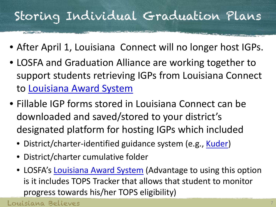## Storing Individual Graduation Plans

**SERVICE** 

**START CARD AND AREA** 

- After April 1, Louisiana Connect will no longer host IGPs.
- LOSFA and Graduation Alliance are working together to support students retrieving IGPs from Louisiana Connect to [Louisiana Award System](https://www.osfa.la.gov/AwardSystem/)
- Fillable IGP forms stored in Louisiana Connect can be downloaded and saved/stored to your district's designated platform for hosting IGPs which included
	- District/charter-identified guidance system (e.g., [Kuder](http://www.kuder.com/))
	- District/charter cumulative folder
	- LOSFA's [Louisiana Award System](https://www.osfa.la.gov/AwardSystem/) (Advantage to using this option is it includes TOPS Tracker that allows that student to monitor progress towards his/her TOPS eligibility)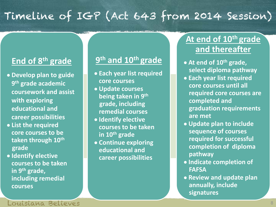## Timeline of IGP (Act 643 from 2014 Session)

## **End of 8th grade**

- **Develop plan to guide 9th grade academic coursework and assist with exploring educational and career possibilities**
- **List the required core courses to be taken through 10th grade**
- **Identify elective courses to be taken in 9th grade, including remedial courses**

### **9th and 10th grade**

- **Each year list required core courses**
- **Update courses being taken in 9th grade, including remedial courses**
- **Identify elective courses to be taken in 10th grade**
- **Continue exploring educational and career possibilities**

### **At end of 10th grade and thereafter**

- **At end of 10th grade, select diploma pathway**
- **Each year list required core courses until all required core courses are completed and graduation requirements are met**
- **Update plan to include sequence of courses required for successful completion of diploma pathway**
- **Indicate completion of FAFSA**
- **Review and update plan annually, include signatures**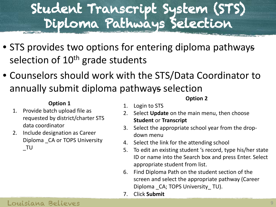# Student Transcript System (STS) Diploma Pathways Selection

- STS provides two options for entering diploma pathways selection of 10<sup>th</sup> grade students
- Counselors should work with the STS/Data Coordinator to annually submit diploma pathways selection

#### **Option 1**

- 1. Provide batch upload file as requested by district/charter STS data coordinator
- 2. Include designation as Career Diploma \_CA or TOPS University \_TU

#### **Option 2**

- 1. Login to STS
- 2. Select **Update** on the main menu, then choose **Student** or **Transcript**
- 3. Select the appropriate school year from the dropdown menu
- 4. Select the link for the attending school
- 5. To edit an existing student 's record, type his/her state ID or name into the Search box and press Enter. Select appropriate student from list.
- 6. Find Diploma Path on the student section of the screen and select the appropriate pathway (Career Diploma CA; TOPS University TU).
- 7. Click **Submit**